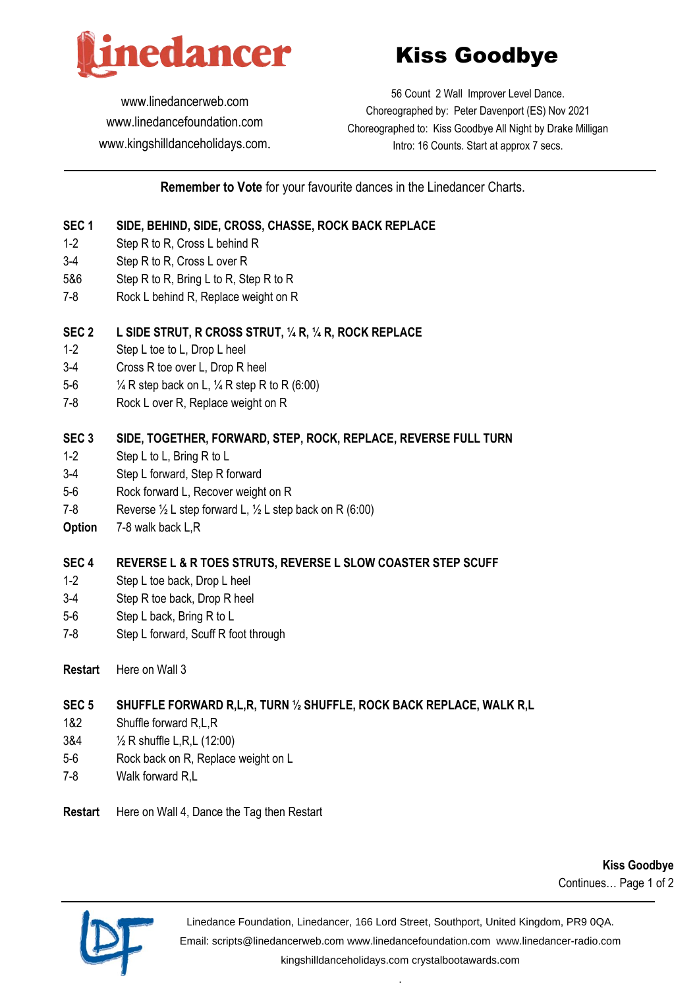

# Kiss Goodbye

[www.linedancerweb.com](http://www.linedancerweb.com/) [www.linedancefoundation.com](http://www.linedancerweb.com/)  [www.kingshilldanceholidays.com](http://www.kingshilldanceholidays.com/).

56 Count 2 Wall Improver Level Dance. Choreographed by: Peter Davenport (ES) Nov 2021 Choreographed to: Kiss Goodbye All Night by Drake Milligan Intro: 16 Counts. Start at approx 7 secs.

## **Remember to Vote** for your favourite dances in the Linedancer Charts.

### **SEC 1 SIDE, BEHIND, SIDE, CROSS, CHASSE, ROCK BACK REPLACE**

- 1-2 Step R to R, Cross L behind R
- 3-4 Step R to R, Cross L over R
- 5&6 Step R to R, Bring L to R, Step R to R
- 7-8 Rock L behind R, Replace weight on R

#### **SEC 2 L SIDE STRUT, R CROSS STRUT, ¼ R, ¼ R, ROCK REPLACE**

- 1-2 Step L toe to L, Drop L heel
- 3-4 Cross R toe over L, Drop R heel
- 5-6 ¼ R step back on L, ¼ R step R to R (6:00)
- 7-8 Rock L over R, Replace weight on R

#### **SEC 3 SIDE, TOGETHER, FORWARD, STEP, ROCK, REPLACE, REVERSE FULL TURN**

- 1-2 Step L to L, Bring R to L
- 3-4 Step L forward, Step R forward
- 5-6 Rock forward L, Recover weight on R
- 7-8 Reverse  $\frac{1}{2}$  L step forward L,  $\frac{1}{2}$  L step back on R (6:00)
- **Option** 7-8 walk back L,R

#### **SEC 4 REVERSE L & R TOES STRUTS, REVERSE L SLOW COASTER STEP SCUFF**

- 1-2 Step L toe back, Drop L heel
- 3-4 Step R toe back, Drop R heel
- 5-6 Step L back, Bring R to L
- 7-8 Step L forward, Scuff R foot through
- **Restart** Here on Wall 3

## **SEC 5 SHUFFLE FORWARD R,L,R, TURN ½ SHUFFLE, ROCK BACK REPLACE, WALK R,L**

- 1&2 Shuffle forward R,L,R
- 3&4 ½ R shuffle L,R,L (12:00)
- 5-6 Rock back on R, Replace weight on L
- 7-8 Walk forward R,L
- **Restart** Here on Wall 4, Dance the Tag then Restart

**Kiss Goodbye** Continues… Page 1 of 2



Linedance Foundation, Linedancer, 166 Lord Street, Southport, United Kingdom, PR9 0QA. Email: [scripts@linedancerweb.com](mailto:scripts@linedancerweb.com) [www.linedancefoundation.com](http://www.linedancefoundation.com/) [www.linedancer-radio.com](http://www.linedancer-radio.com/) [kingshilldanceholidays.com](http://kingshilldanceholidays.com/) [crystalbootawards.com](http://crystalbootawards.com/)

.